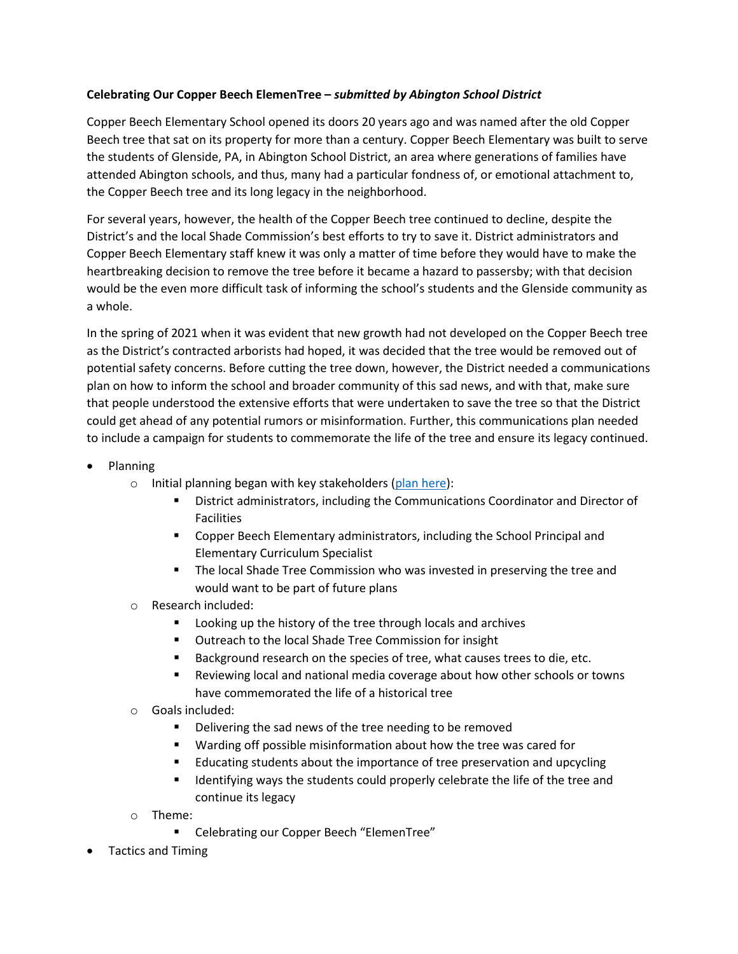## **Celebrating Our Copper Beech ElemenTree –** *submitted by Abington School District*

Copper Beech Elementary School opened its doors 20 years ago and was named after the old Copper Beech tree that sat on its property for more than a century. Copper Beech Elementary was built to serve the students of Glenside, PA, in Abington School District, an area where generations of families have attended Abington schools, and thus, many had a particular fondness of, or emotional attachment to, the Copper Beech tree and its long legacy in the neighborhood.

For several years, however, the health of the Copper Beech tree continued to decline, despite the District's and the local Shade Commission's best efforts to try to save it. District administrators and Copper Beech Elementary staff knew it was only a matter of time before they would have to make the heartbreaking decision to remove the tree before it became a hazard to passersby; with that decision would be the even more difficult task of informing the school's students and the Glenside community as a whole.

In the spring of 2021 when it was evident that new growth had not developed on the Copper Beech tree as the District's contracted arborists had hoped, it was decided that the tree would be removed out of potential safety concerns. Before cutting the tree down, however, the District needed a communications plan on how to inform the school and broader community of this sad news, and with that, make sure that people understood the extensive efforts that were undertaken to save the tree so that the District could get ahead of any potential rumors or misinformation. Further, this communications plan needed to include a campaign for students to commemorate the life of the tree and ensure its legacy continued.

- Planning
	- o Initial planning began with key stakeholders [\(plan here\)](https://drive.google.com/file/d/101wnBGfLZoG-CBLSPyluymCN2Da9GN2G/view?usp=sharing):
		- District administrators, including the Communications Coordinator and Director of Facilities
		- **E** Copper Beech Elementary administrators, including the School Principal and Elementary Curriculum Specialist
		- **The local Shade Tree Commission who was invested in preserving the tree and** would want to be part of future plans
	- o Research included:
		- Looking up the history of the tree through locals and archives
		- **Dutreach to the local Shade Tree Commission for insight**
		- Background research on the species of tree, what causes trees to die, etc.
		- Reviewing local and national media coverage about how other schools or towns have commemorated the life of a historical tree
	- o Goals included:
		- **•** Delivering the sad news of the tree needing to be removed
		- Warding off possible misinformation about how the tree was cared for
		- Educating students about the importance of tree preservation and upcycling
		- Identifying ways the students could properly celebrate the life of the tree and continue its legacy
	- o Theme:
		- Celebrating our Copper Beech "ElemenTree"
- Tactics and Timing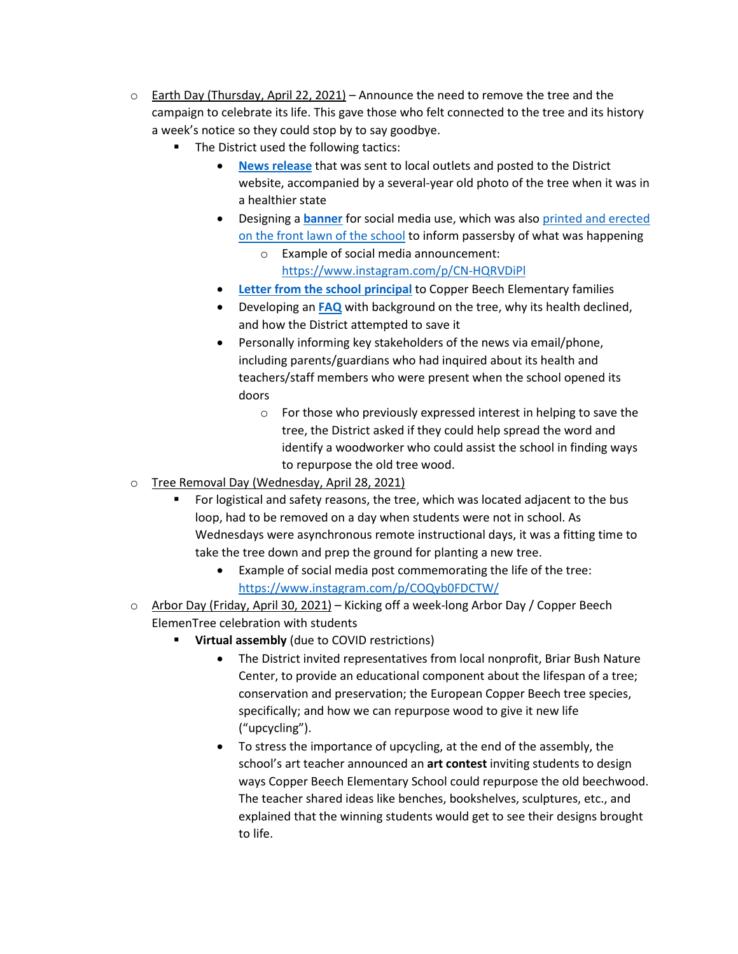- $\circ$  Earth Day (Thursday, April 22, 2021) Announce the need to remove the tree and the campaign to celebrate its life. This gave those who felt connected to the tree and its history a week's notice so they could stop by to say goodbye.
	- The District used the following tactics:
		- **[News release](https://www.abington.k12.pa.us/news/copper-beech-elementary-school-to-honor-its-elementree-with-week-long-arbor-day-celebration/)** that was sent to local outlets and posted to the District website, accompanied by a several-year old photo of the tree when it was in a healthier state
		- Designing a **[banner](https://drive.google.com/file/d/1L6e6bc_ZqWDxloTosZ5_UO3wwrQkb2Dm/view?usp=sharing)** for social media use, which was also [printed and erected](https://drive.google.com/file/d/1hOc_SerFfrWKdW41AKzLlqVtcYXqTbVM/view?usp=sharing)  [on the front lawn of the school](https://drive.google.com/file/d/1hOc_SerFfrWKdW41AKzLlqVtcYXqTbVM/view?usp=sharing) to inform passersby of what was happening
			- Example of social media announcement: <https://www.instagram.com/p/CN-HQRVDiPl>
		- **[Letter from the school principal](https://docs.google.com/document/d/16ai5B6-gApKgg0pNlwzjymZ9Gn3CUL4Za8krj8_tJ5Q/edit?usp=sharing)** to Copper Beech Elementary families
		- Developing an **[FAQ](https://docs.google.com/document/d/1mjCrS9XLJgvXb_K-kAmONsEc7gbGQjCUadF93aNrwDY/edit)** with background on the tree, why its health declined, and how the District attempted to save it
		- Personally informing key stakeholders of the news via email/phone, including parents/guardians who had inquired about its health and teachers/staff members who were present when the school opened its doors
			- o For those who previously expressed interest in helping to save the tree, the District asked if they could help spread the word and identify a woodworker who could assist the school in finding ways to repurpose the old tree wood.
- o Tree Removal Day (Wednesday, April 28, 2021)
	- For logistical and safety reasons, the tree, which was located adjacent to the bus loop, had to be removed on a day when students were not in school. As Wednesdays were asynchronous remote instructional days, it was a fitting time to take the tree down and prep the ground for planting a new tree.
		- Example of social media post commemorating the life of the tree: <https://www.instagram.com/p/COQyb0FDCTW/>
- o Arbor Day (Friday, April 30, 2021) Kicking off a week-long Arbor Day / Copper Beech ElemenTree celebration with students
	- **Virtual assembly** (due to COVID restrictions)
		- The District invited representatives from local nonprofit, Briar Bush Nature Center, to provide an educational component about the lifespan of a tree; conservation and preservation; the European Copper Beech tree species, specifically; and how we can repurpose wood to give it new life ("upcycling").
		- To stress the importance of upcycling, at the end of the assembly, the school's art teacher announced an **art contest** inviting students to design ways Copper Beech Elementary School could repurpose the old beechwood. The teacher shared ideas like benches, bookshelves, sculptures, etc., and explained that the winning students would get to see their designs brought to life.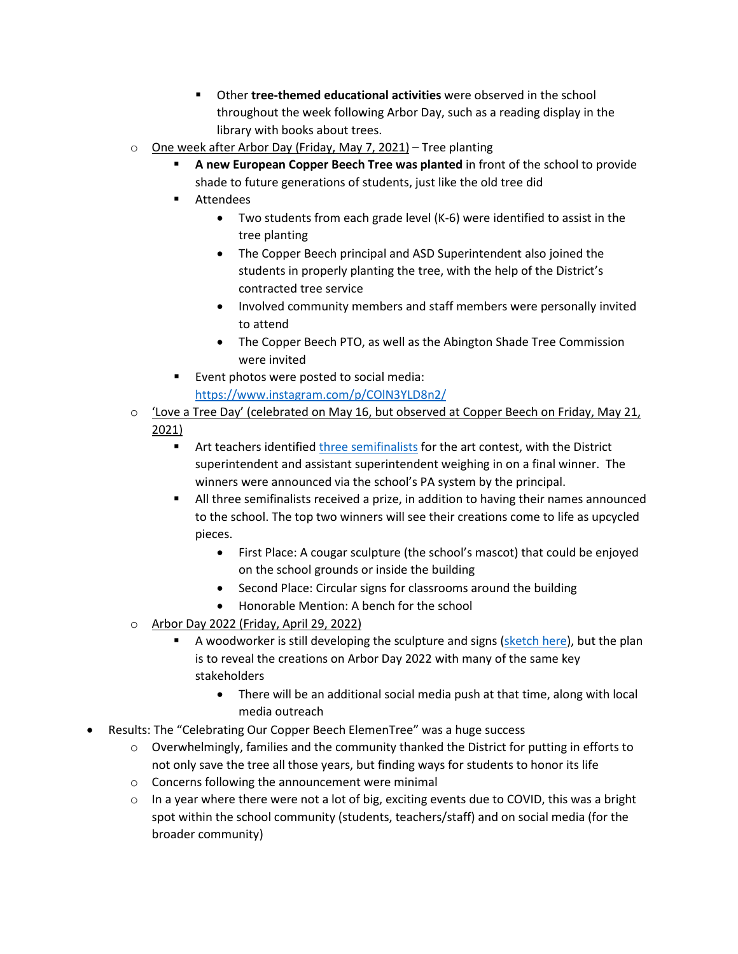- Other **tree-themed educational activities** were observed in the school throughout the week following Arbor Day, such as a reading display in the library with books about trees.
- $\circ$  One week after Arbor Day (Friday, May 7, 2021) Tree planting
	- **A new European Copper Beech Tree was planted** in front of the school to provide shade to future generations of students, just like the old tree did
	- **Attendees** 
		- Two students from each grade level (K-6) were identified to assist in the tree planting
		- The Copper Beech principal and ASD Superintendent also joined the students in properly planting the tree, with the help of the District's contracted tree service
		- Involved community members and staff members were personally invited to attend
		- The Copper Beech PTO, as well as the Abington Shade Tree Commission were invited
	- **Event photos were posted to social media:** <https://www.instagram.com/p/COlN3YLD8n2/>
- $\circ$  'Love a Tree Day' (celebrated on May 16, but observed at Copper Beech on Friday, May 21, 2021)
	- Art teachers identifie[d three semifinalists](https://docs.google.com/presentation/d/1TNo_vuSze0NM8OmXHEpKQLnIhHn0babDfiulRfbCyzw/edit?usp=sharing) for the art contest, with the District superintendent and assistant superintendent weighing in on a final winner. The winners were announced via the school's PA system by the principal.
	- All three semifinalists received a prize, in addition to having their names announced to the school. The top two winners will see their creations come to life as upcycled pieces.
		- First Place: A cougar sculpture (the school's mascot) that could be enjoyed on the school grounds or inside the building
		- Second Place: Circular signs for classrooms around the building
		- Honorable Mention: A bench for the school
- o Arbor Day 2022 (Friday, April 29, 2022)
	- A woodworker is still developing the sculpture and signs [\(sketch here\)](https://drive.google.com/file/d/1jGp8MEPPy3oejQldTxhb4abkCbe_h1ET/view?usp=sharing), but the plan is to reveal the creations on Arbor Day 2022 with many of the same key stakeholders
		- There will be an additional social media push at that time, along with local media outreach
- Results: The "Celebrating Our Copper Beech ElemenTree" was a huge success
	- $\circ$  Overwhelmingly, families and the community thanked the District for putting in efforts to not only save the tree all those years, but finding ways for students to honor its life
	- o Concerns following the announcement were minimal
	- $\circ$  In a year where there were not a lot of big, exciting events due to COVID, this was a bright spot within the school community (students, teachers/staff) and on social media (for the broader community)